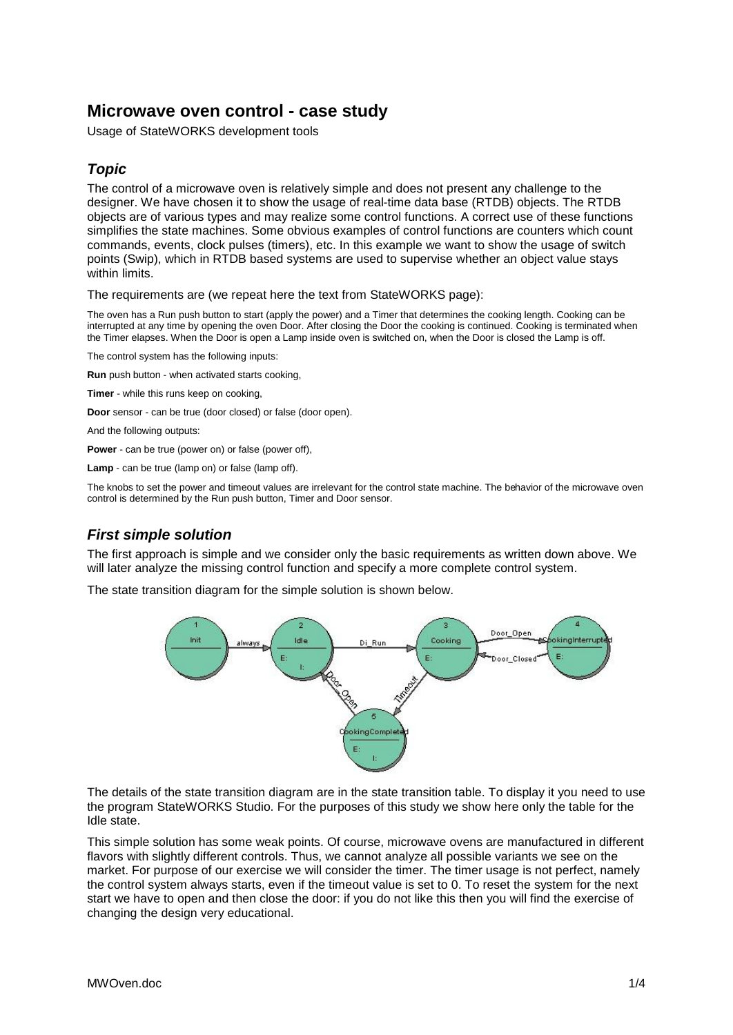# **Microwave oven control - case study**

Usage of StateWORKS development tools

# *Topic*

The control of a microwave oven is relatively simple and does not present any challenge to the designer. We have chosen it to show the usage of real-time data base (RTDB) objects. The RTDB objects are of various types and may realize some control functions. A correct use of these functions simplifies the state machines. Some obvious examples of control functions are counters which count commands, events, clock pulses (timers), etc. In this example we want to show the usage of switch points (Swip), which in RTDB based systems are used to supervise whether an object value stays within limits.

The requirements are (we repeat here the text from StateWORKS page):

The oven has a Run push button to start (apply the power) and a Timer that determines the cooking length. Cooking can be interrupted at any time by opening the oven Door. After closing the Door the cooking is continued. Cooking is terminated when the Timer elapses. When the Door is open a Lamp inside oven is switched on, when the Door is closed the Lamp is off.

The control system has the following inputs:

**Run** push button - when activated starts cooking,

**Timer** - while this runs keep on cooking,

**Door** sensor - can be true (door closed) or false (door open).

And the following outputs:

**Power** - can be true (power on) or false (power off),

**Lamp** - can be true (lamp on) or false (lamp off).

The knobs to set the power and timeout values are irrelevant for the control state machine. The behavior of the microwave oven control is determined by the Run push button, Timer and Door sensor.

#### *First simple solution*

The first approach is simple and we consider only the basic requirements as written down above. We will later analyze the missing control function and specify a more complete control system.

The state transition diagram for the simple solution is shown below.



The details of the state transition diagram are in the state transition table. To display it you need to use the program StateWORKS Studio. For the purposes of this study we show here only the table for the Idle state.

This simple solution has some weak points. Of course, microwave ovens are manufactured in different flavors with slightly different controls. Thus, we cannot analyze all possible variants we see on the market. For purpose of our exercise we will consider the timer. The timer usage is not perfect, namely the control system always starts, even if the timeout value is set to 0. To reset the system for the next start we have to open and then close the door: if you do not like this then you will find the exercise of changing the design very educational.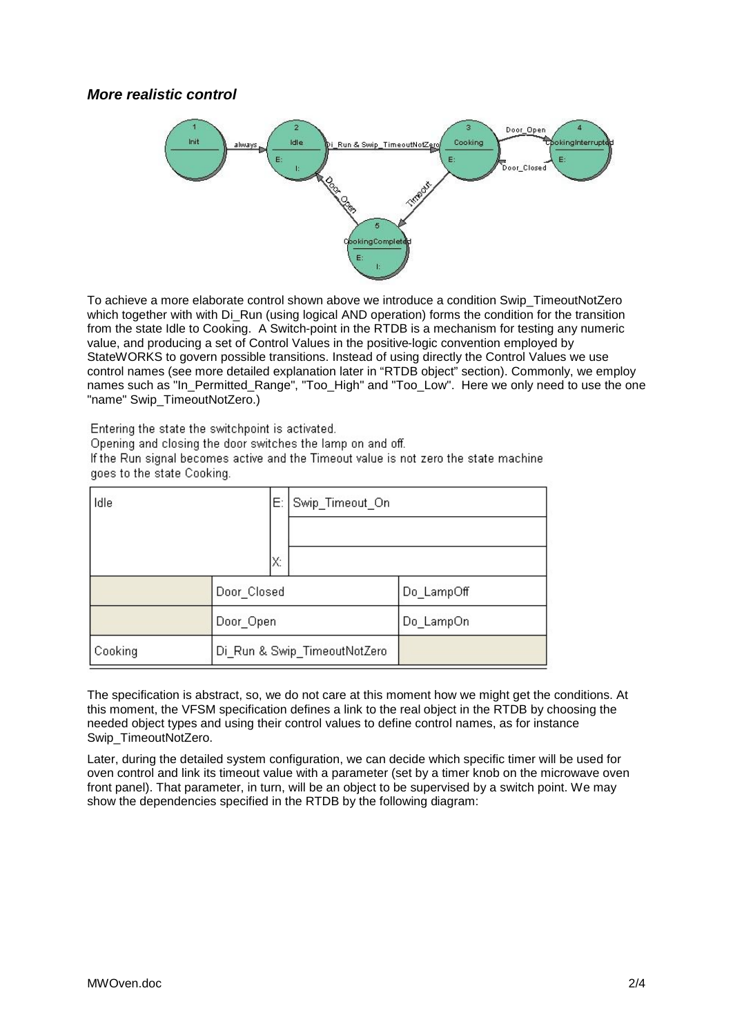### *More realistic control*



To achieve a more elaborate control shown above we introduce a condition Swip\_TimeoutNotZero which together with with Dias Run (using logical AND operation) forms the condition for the transition from the state Idle to Cooking. A Switch-point in the RTDB is a mechanism for testing any numeric value, and producing a set of Control Values in the positive-logic convention employed by StateWORKS to govern possible transitions. Instead of using directly the Control Values we use control names (see more detailed explanation later in "RTDB object" section). Commonly, we employ names such as "In\_Permitted\_Range", "Too\_High" and "Too\_Low". Here we only need to use the one "name" Swip\_TimeoutNotZero.)

Entering the state the switchpoint is activated.

Opening and closing the door switches the lamp on and off.

If the Run signal becomes active and the Timeout value is not zero the state machine goes to the state Cooking.

| Idle<br>Е: |                              | Swip_Timeout_On |            |
|------------|------------------------------|-----------------|------------|
|            |                              |                 |            |
| X.         |                              |                 |            |
|            | Door_Closed                  |                 | Do LampOff |
|            | Door_Open                    |                 | Do LampOn  |
| Cooking    | Di_Run & Swip_TimeoutNotZero |                 |            |

The specification is abstract, so, we do not care at this moment how we might get the conditions. At this moment, the VFSM specification defines a link to the real object in the RTDB by choosing the needed object types and using their control values to define control names, as for instance Swip\_TimeoutNotZero.

Later, during the detailed system configuration, we can decide which specific timer will be used for oven control and link its timeout value with a parameter (set by a timer knob on the microwave oven front panel). That parameter, in turn, will be an object to be supervised by a switch point. We may show the dependencies specified in the RTDB by the following diagram: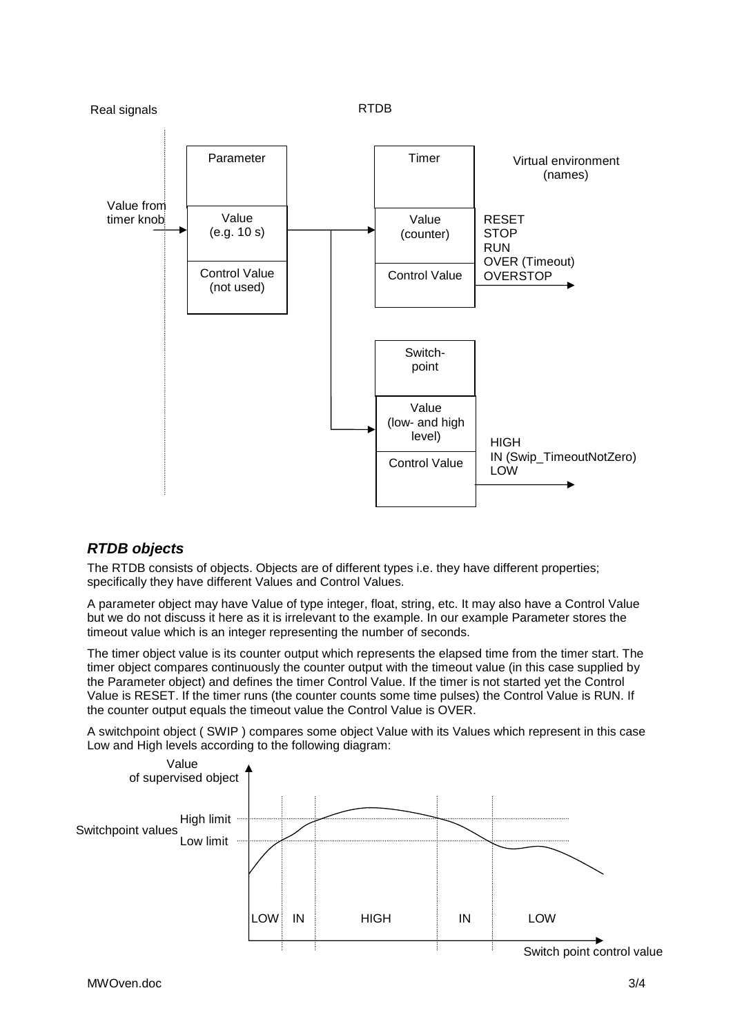

## *RTDB objects*

The RTDB consists of objects. Objects are of different types i.e. they have different properties; specifically they have different Values and Control Values.

A parameter object may have Value of type integer, float, string, etc. It may also have a Control Value but we do not discuss it here as it is irrelevant to the example. In our example Parameter stores the timeout value which is an integer representing the number of seconds.

The timer object value is its counter output which represents the elapsed time from the timer start. The timer object compares continuously the counter output with the timeout value (in this case supplied by the Parameter object) and defines the timer Control Value. If the timer is not started yet the Control Value is RESET. If the timer runs (the counter counts some time pulses) the Control Value is RUN. If the counter output equals the timeout value the Control Value is OVER.

A switchpoint object ( SWIP ) compares some object Value with its Values which represent in this case Low and High levels according to the following diagram: